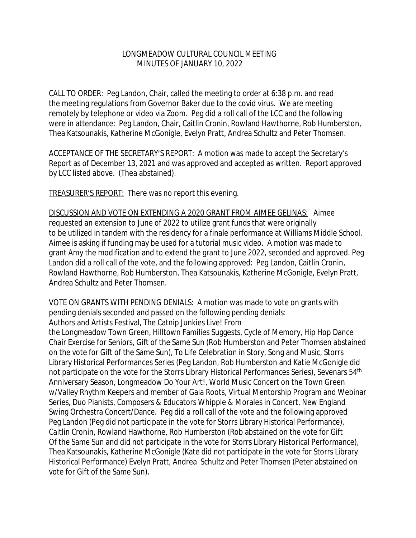## LONGMEADOW CULTURAL COUNCIL MEETING MINUTES OF JANUARY 10, 2022

CALL TO ORDER: Peg Landon, Chair, called the meeting to order at 6:38 p.m. and read the meeting regulations from Governor Baker due to the covid virus. We are meeting remotely by telephone or video via Zoom. Peg did a roll call of the LCC and the following were in attendance: Peg Landon, Chair, Caitlin Cronin, Rowland Hawthorne, Rob Humberston, Thea Katsounakis, Katherine McGonigle, Evelyn Pratt, Andrea Schultz and Peter Thomsen.

ACCEPTANCE OF THE SECRETARY'S REPORT: A motion was made to accept the Secretary's Report as of December 13, 2021 and was approved and accepted as written. Report approved by LCC listed above. (Thea abstained).

TREASURER'S REPORT: There was no report this evening.

DISCUSSION AND VOTE ON EXTENDING A 2020 GRANT FROM AIMEE GELINAS: Aimee requested an extension to June of 2022 to utilize grant funds that were originally to be utilized in tandem with the residency for a finale performance at Williams Middle School. Aimee is asking if funding may be used for a tutorial music video. A motion was made to grant Amy the modification and to extend the grant to June 2022, seconded and approved. Peg Landon did a roll call of the vote, and the following approved: Peg Landon, Caitlin Cronin, Rowland Hawthorne, Rob Humberston, Thea Katsounakis, Katherine McGonigle, Evelyn Pratt, Andrea Schultz and Peter Thomsen.

VOTE ON GRANTS WITH PENDING DENIALS: A motion was made to vote on grants with pending denials seconded and passed on the following pending denials: Authors and Artists Festival, The Catnip Junkies Live! From

the Longmeadow Town Green, Hilltown Families Suggests, Cycle of Memory, Hip Hop Dance Chair Exercise for Seniors, Gift of the Same Sun (Rob Humberston and Peter Thomsen abstained on the vote for Gift of the Same Sun), To Life Celebration in Story, Song and Music, Storrs Library Historical Performances Series (Peg Landon, Rob Humberston and Katie McGonigle did not participate on the vote for the Storrs Library Historical Performances Series), Sevenars 54<sup>th</sup> Anniversary Season, Longmeadow Do Your Art!, World Music Concert on the Town Green w/Valley Rhythm Keepers and member of Gaia Roots, Virtual Mentorship Program and Webinar Series, Duo Pianists, Composers & Educators Whipple & Morales in Concert, New England Swing Orchestra Concert/Dance. Peg did a roll call of the vote and the following approved Peg Landon (Peg did not participate in the vote for Storrs Library Historical Performance), Caitlin Cronin, Rowland Hawthorne, Rob Humberston (Rob abstained on the vote for Gift Of the Same Sun and did not participate in the vote for Storrs Library Historical Performance), Thea Katsounakis, Katherine McGonigle (Kate did not participate in the vote for Storrs Library Historical Performance) Evelyn Pratt, Andrea Schultz and Peter Thomsen (Peter abstained on vote for Gift of the Same Sun).